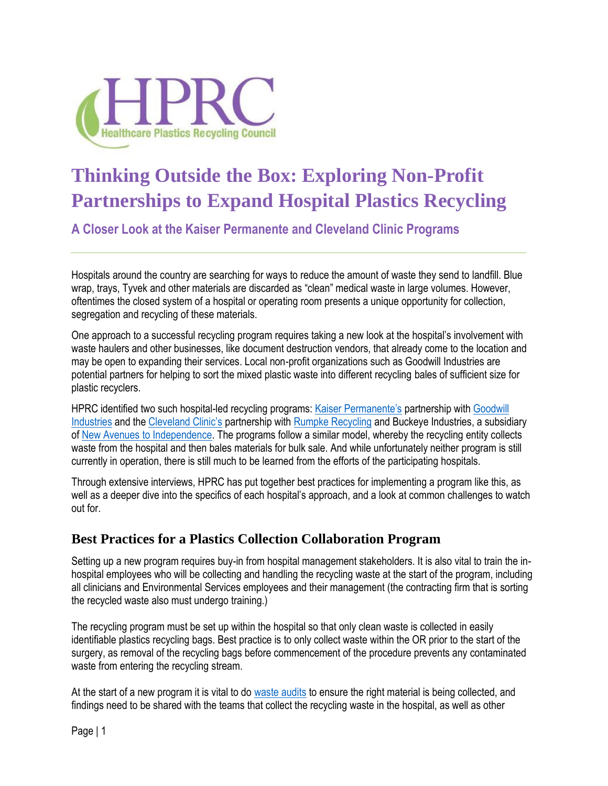

# **Thinking Outside the Box: Exploring Non-Profit Partnerships to Expand Hospital Plastics Recycling**

**A Closer Look at the Kaiser Permanente and Cleveland Clinic Programs**

Hospitals around the country are searching for ways to reduce the amount of waste they send to landfill. Blue wrap, trays, Tyvek and other materials are discarded as "clean" medical waste in large volumes. However, oftentimes the closed system of a hospital or operating room presents a unique opportunity for collection, segregation and recycling of these materials.

One approach to a successful recycling program requires taking a new look at the hospital's involvement with waste haulers and other businesses, like document destruction vendors, that already come to the location and may be open to expanding their services. Local non-profit organizations such as Goodwill Industries are potential partners for helping to sort the mixed plastic waste into different recycling bales of sufficient size for plastic recyclers.

HPRC identified two such hospital-led recycling programs: [Kaiser Permanente's](https://healthy.kaiserpermanente.org/) partnership wit[h Goodwill](http://www.goodwill.org/)  [Industries](http://www.goodwill.org/) and the [Cleveland Clinic's](https://my.clevelandclinic.org/) partnership with [Rumpke Recycling](https://www.rumpke.com/recycling) and Buckeye Industries, a subsidiary of [New Avenues to Independence.](http://www.newavenues.net/) The programs follow a similar model, whereby the recycling entity collects waste from the hospital and then bales materials for bulk sale. And while unfortunately neither program is still currently in operation, there is still much to be learned from the efforts of the participating hospitals.

Through extensive interviews, HPRC has put together best practices for implementing a program like this, as well as a deeper dive into the specifics of each hospital's approach, and a look at common challenges to watch out for.

## **Best Practices for a Plastics Collection Collaboration Program**

Setting up a new program requires buy-in from hospital management stakeholders. It is also vital to train the inhospital employees who will be collecting and handling the recycling waste at the start of the program, including all clinicians and Environmental Services employees and their management (the contracting firm that is sorting the recycled waste also must undergo training.)

The recycling program must be set up within the hospital so that only clean waste is collected in easily identifiable plastics recycling bags. Best practice is to only collect waste within the OR prior to the start of the surgery, as removal of the recycling bags before commencement of the procedure prevents any contaminated waste from entering the recycling stream.

At the start of a new program it is vital to do [waste audits](https://www.hprc.org/hospital-waste-characterization) to ensure the right material is being collected, and findings need to be shared with the teams that collect the recycling waste in the hospital, as well as other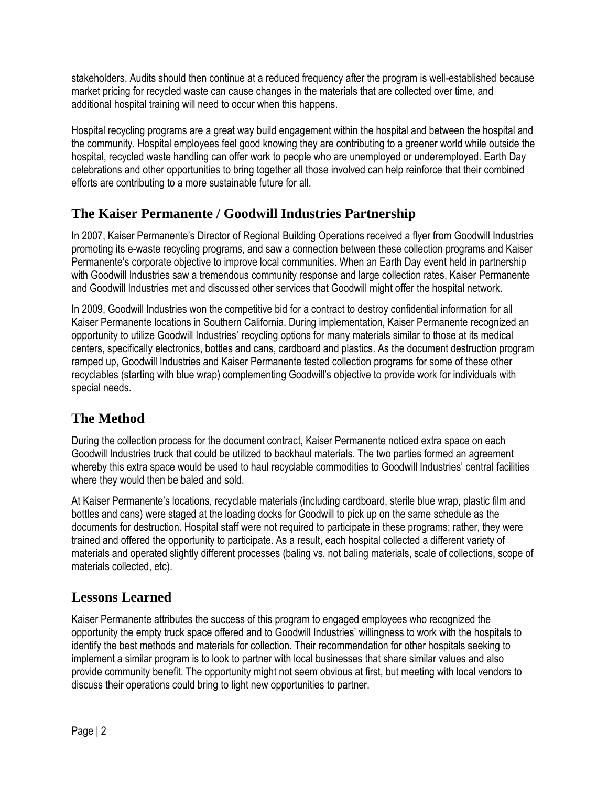stakeholders. Audits should then continue at a reduced frequency after the program is well-established because market pricing for recycled waste can cause changes in the materials that are collected over time, and additional hospital training will need to occur when this happens.

Hospital recycling programs are a great way build engagement within the hospital and between the hospital and the community. Hospital employees feel good knowing they are contributing to a greener world while outside the hospital, recycled waste handling can offer work to people who are unemployed or underemployed. Earth Day celebrations and other opportunities to bring together all those involved can help reinforce that their combined efforts are contributing to a more sustainable future for all.

## **The Kaiser Permanente / Goodwill Industries Partnership**

In 2007, Kaiser Permanente's Director of Regional Building Operations received a flyer from Goodwill Industries promoting its e-waste recycling programs, and saw a connection between these collection programs and Kaiser Permanente's corporate objective to improve local communities. When an Earth Day event held in partnership with Goodwill Industries saw a tremendous community response and large collection rates, Kaiser Permanente and Goodwill Industries met and discussed other services that Goodwill might offer the hospital network.

In 2009, Goodwill Industries won the competitive bid for a contract to destroy confidential information for all Kaiser Permanente locations in Southern California. During implementation, Kaiser Permanente recognized an opportunity to utilize Goodwill Industries' recycling options for many materials similar to those at its medical centers, specifically electronics, bottles and cans, cardboard and plastics. As the document destruction program ramped up, Goodwill Industries and Kaiser Permanente tested collection programs for some of these other recyclables (starting with blue wrap) complementing Goodwill's objective to provide work for individuals with special needs.

# **The Method**

During the collection process for the document contract, Kaiser Permanente noticed extra space on each Goodwill Industries truck that could be utilized to backhaul materials. The two parties formed an agreement whereby this extra space would be used to haul recyclable commodities to Goodwill Industries' central facilities where they would then be baled and sold.

At Kaiser Permanente's locations, recyclable materials (including cardboard, sterile blue wrap, plastic film and bottles and cans) were staged at the loading docks for Goodwill to pick up on the same schedule as the documents for destruction. Hospital staff were not required to participate in these programs; rather, they were trained and offered the opportunity to participate. As a result, each hospital collected a different variety of materials and operated slightly different processes (baling vs. not baling materials, scale of collections, scope of materials collected, etc).

# **Lessons Learned**

Kaiser Permanente attributes the success of this program to engaged employees who recognized the opportunity the empty truck space offered and to Goodwill Industries' willingness to work with the hospitals to identify the best methods and materials for collection. Their recommendation for other hospitals seeking to implement a similar program is to look to partner with local businesses that share similar values and also provide community benefit. The opportunity might not seem obvious at first, but meeting with local vendors to discuss their operations could bring to light new opportunities to partner.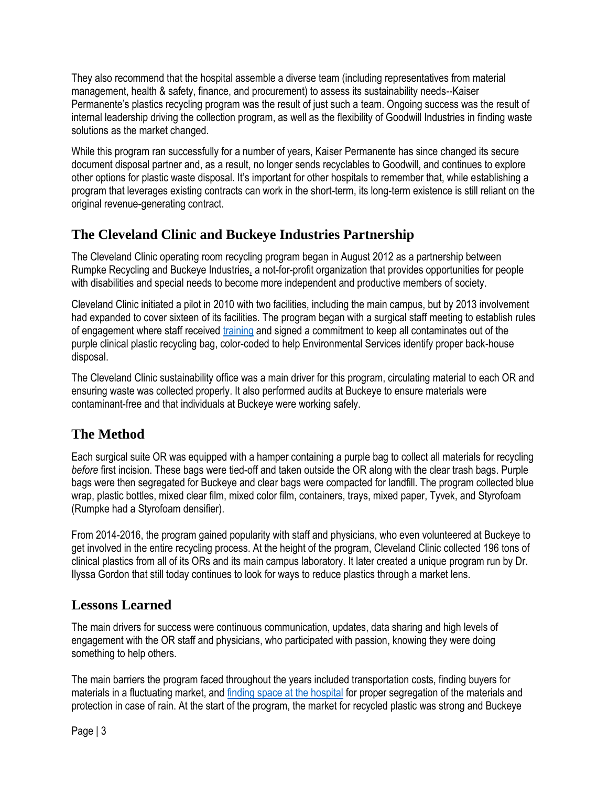They also recommend that the hospital assemble a diverse team (including representatives from material management, health & safety, finance, and procurement) to assess its sustainability needs--Kaiser Permanente's plastics recycling program was the result of just such a team. Ongoing success was the result of internal leadership driving the collection program, as well as the flexibility of Goodwill Industries in finding waste solutions as the market changed.

While this program ran successfully for a number of years, Kaiser Permanente has since changed its secure document disposal partner and, as a result, no longer sends recyclables to Goodwill, and continues to explore other options for plastic waste disposal. It's important for other hospitals to remember that, while establishing a program that leverages existing contracts can work in the short-term, its long-term existence is still reliant on the original revenue-generating contract.

## **The Cleveland Clinic and Buckeye Industries Partnership**

The Cleveland Clinic operating room recycling program began in August 2012 as a partnership between Rumpke Recycling and Buckeye Industries, a not-for-profit organization that provides opportunities for people with disabilities and special needs to become more independent and productive members of society.

Cleveland Clinic initiated a pilot in 2010 with two facilities, including the main campus, but by 2013 involvement had expanded to cover sixteen of its facilities. The program began with a surgical staff meeting to establish rules of engagement where staff received [training](https://www.hprc.org/accredited-education) and signed a commitment to keep all contaminates out of the purple clinical plastic recycling bag, color-coded to help Environmental Services identify proper back-house disposal.

The Cleveland Clinic sustainability office was a main driver for this program, circulating material to each OR and ensuring waste was collected properly. It also performed audits at Buckeye to ensure materials were contaminant-free and that individuals at Buckeye were working safely.

## **The Method**

Each surgical suite OR was equipped with a hamper containing a purple bag to collect all materials for recycling *before* first incision. These bags were tied-off and taken outside the OR along with the clear trash bags. Purple bags were then segregated for Buckeye and clear bags were compacted for landfill. The program collected blue wrap, plastic bottles, mixed clear film, mixed color film, containers, trays, mixed paper, Tyvek, and Styrofoam (Rumpke had a Styrofoam densifier).

From 2014-2016, the program gained popularity with staff and physicians, who even volunteered at Buckeye to get involved in the entire recycling process. At the height of the program, Cleveland Clinic collected 196 tons of clinical plastics from all of its ORs and its main campus laboratory. It later created a unique program run by Dr. Ilyssa Gordon that still today continues to look for ways to reduce plastics through a market lens.

## **Lessons Learned**

The main drivers for success were continuous communication, updates, data sharing and high levels of engagement with the OR staff and physicians, who participated with passion, knowing they were doing something to help others.

The main barriers the program faced throughout the years included transportation costs, finding buyers for materials in a fluctuating market, and *finding space at the hospital* for proper segregation of the materials and protection in case of rain. At the start of the program, the market for recycled plastic was strong and Buckeye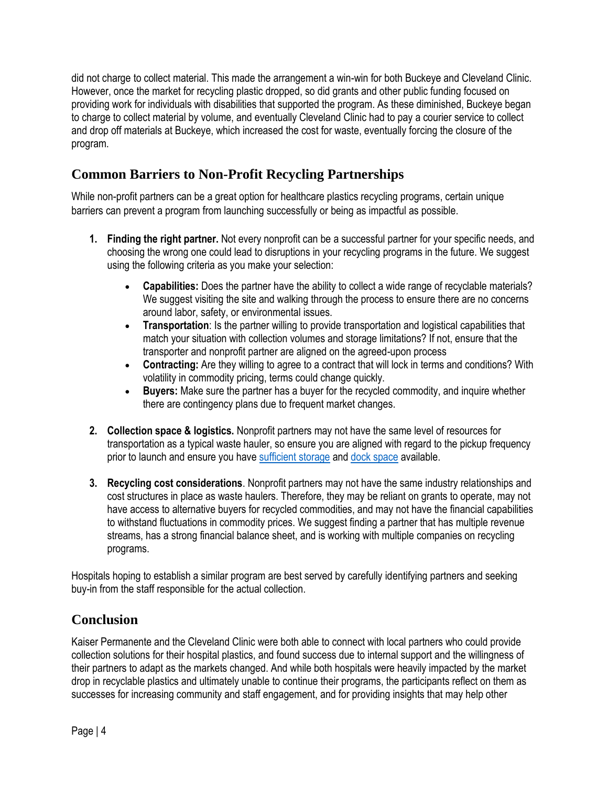did not charge to collect material. This made the arrangement a win-win for both Buckeye and Cleveland Clinic. However, once the market for recycling plastic dropped, so did grants and other public funding focused on providing work for individuals with disabilities that supported the program. As these diminished, Buckeye began to charge to collect material by volume, and eventually Cleveland Clinic had to pay a courier service to collect and drop off materials at Buckeye, which increased the cost for waste, eventually forcing the closure of the program.

# **Common Barriers to Non-Profit Recycling Partnerships**

While non-profit partners can be a great option for healthcare plastics recycling programs, certain unique barriers can prevent a program from launching successfully or being as impactful as possible.

- **1. Finding the right partner.** Not every nonprofit can be a successful partner for your specific needs, and choosing the wrong one could lead to disruptions in your recycling programs in the future. We suggest using the following criteria as you make your selection:
	- **Capabilities:** Does the partner have the ability to collect a wide range of recyclable materials? We suggest visiting the site and walking through the process to ensure there are no concerns around labor, safety, or environmental issues.
	- **Transportation**: Is the partner willing to provide transportation and logistical capabilities that match your situation with collection volumes and storage limitations? If not, ensure that the transporter and nonprofit partner are aligned on the agreed-upon process
	- **Contracting:** Are they willing to agree to a contract that will lock in terms and conditions? With volatility in commodity pricing, terms could change quickly.
	- **Buyers:** Make sure the partner has a buyer for the recycled commodity, and inquire whether there are contingency plans due to frequent market changes.
- **2. Collection space & logistics.** Nonprofit partners may not have the same level of resources for transportation as a typical waste hauler, so ensure you are aligned with regard to the pickup frequency prior to launch and ensure you have [sufficient storage](https://www.hprc.org/selecting-recycling-strategy) and [dock space](https://www.hprc.org/dock-space-guidance) available.
- **3. Recycling cost considerations**. Nonprofit partners may not have the same industry relationships and cost structures in place as waste haulers. Therefore, they may be reliant on grants to operate, may not have access to alternative buyers for recycled commodities, and may not have the financial capabilities to withstand fluctuations in commodity prices. We suggest finding a partner that has multiple revenue streams, has a strong financial balance sheet, and is working with multiple companies on recycling programs.

Hospitals hoping to establish a similar program are best served by carefully identifying partners and seeking buy-in from the staff responsible for the actual collection.

## **Conclusion**

Kaiser Permanente and the Cleveland Clinic were both able to connect with local partners who could provide collection solutions for their hospital plastics, and found success due to internal support and the willingness of their partners to adapt as the markets changed. And while both hospitals were heavily impacted by the market drop in recyclable plastics and ultimately unable to continue their programs, the participants reflect on them as successes for increasing community and staff engagement, and for providing insights that may help other